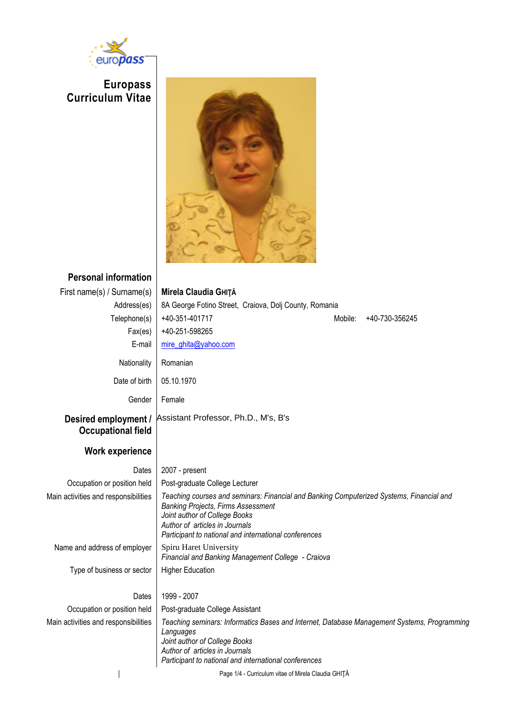

**Europass Curriculum Vitae**

 $\begin{array}{c} \hline \end{array}$ 



| <b>Personal information</b>                       |                                                                                                                                                                                                                                                                   |
|---------------------------------------------------|-------------------------------------------------------------------------------------------------------------------------------------------------------------------------------------------------------------------------------------------------------------------|
| First name(s) / Surname(s)                        | Mirela Claudia GHITĂ                                                                                                                                                                                                                                              |
| Address(es)                                       | 8A George Fotino Street, Craiova, Dolj County, Romania                                                                                                                                                                                                            |
| Telephone(s)                                      | +40-351-401717<br>Mobile:<br>+40-730-356245                                                                                                                                                                                                                       |
| Fax(es)                                           | +40-251-598265                                                                                                                                                                                                                                                    |
| E-mail                                            | mire_ghita@yahoo.com                                                                                                                                                                                                                                              |
| Nationality                                       | Romanian                                                                                                                                                                                                                                                          |
| Date of birth                                     | 05.10.1970                                                                                                                                                                                                                                                        |
| Gender                                            | Female                                                                                                                                                                                                                                                            |
| Desired employment /<br><b>Occupational field</b> | Assistant Professor, Ph.D., M's, B's                                                                                                                                                                                                                              |
| <b>Work experience</b>                            |                                                                                                                                                                                                                                                                   |
| Dates                                             | 2007 - present                                                                                                                                                                                                                                                    |
| Occupation or position held                       | Post-graduate College Lecturer                                                                                                                                                                                                                                    |
| Main activities and responsibilities              | Teaching courses and seminars: Financial and Banking Computerized Systems, Financial and<br><b>Banking Projects, Firms Assessment</b><br>Joint author of College Books<br>Author of articles in Journals<br>Participant to national and international conferences |
| Name and address of employer                      | Spiru Haret University<br>Financial and Banking Management College - Craiova                                                                                                                                                                                      |
| Type of business or sector                        | <b>Higher Education</b>                                                                                                                                                                                                                                           |
| Dates                                             | 1999 - 2007                                                                                                                                                                                                                                                       |
| Occupation or position held                       | Post-graduate College Assistant                                                                                                                                                                                                                                   |
| Main activities and responsibilities              | Teaching seminars: Informatics Bases and Internet, Database Management Systems, Programming<br>Languages<br>Joint author of College Books<br>Author of articles in Journals<br>Participant to national and international conferences                              |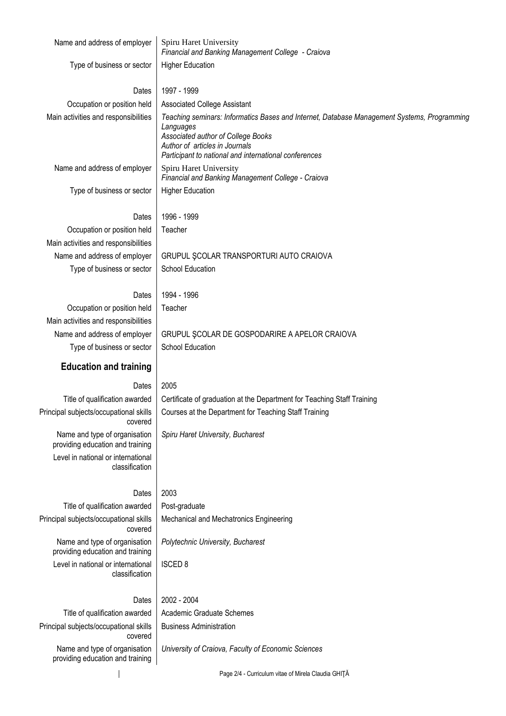| Name and address of employer                                                        | Spiru Haret University<br>Financial and Banking Management College - Craiova                                                                                                                                                              |
|-------------------------------------------------------------------------------------|-------------------------------------------------------------------------------------------------------------------------------------------------------------------------------------------------------------------------------------------|
| Type of business or sector                                                          | <b>Higher Education</b>                                                                                                                                                                                                                   |
| Dates                                                                               | 1997 - 1999                                                                                                                                                                                                                               |
| Occupation or position held                                                         | <b>Associated College Assistant</b>                                                                                                                                                                                                       |
| Main activities and responsibilities                                                | Teaching seminars: Informatics Bases and Internet, Database Management Systems, Programming<br>Languages<br>Associated author of College Books<br>Author of articles in Journals<br>Participant to national and international conferences |
| Name and address of employer                                                        | Spiru Haret University<br>Financial and Banking Management College - Craiova                                                                                                                                                              |
| Type of business or sector                                                          | <b>Higher Education</b>                                                                                                                                                                                                                   |
| Dates                                                                               | 1996 - 1999                                                                                                                                                                                                                               |
| Occupation or position held                                                         | Teacher                                                                                                                                                                                                                                   |
| Main activities and responsibilities                                                |                                                                                                                                                                                                                                           |
| Name and address of employer                                                        | GRUPUL SCOLAR TRANSPORTURI AUTO CRAIOVA                                                                                                                                                                                                   |
| Type of business or sector                                                          | School Education                                                                                                                                                                                                                          |
|                                                                                     |                                                                                                                                                                                                                                           |
| Dates                                                                               | 1994 - 1996                                                                                                                                                                                                                               |
| Occupation or position held                                                         | Teacher                                                                                                                                                                                                                                   |
| Main activities and responsibilities                                                |                                                                                                                                                                                                                                           |
| Name and address of employer                                                        | GRUPUL SCOLAR DE GOSPODARIRE A APELOR CRAIOVA                                                                                                                                                                                             |
| Type of business or sector                                                          | School Education                                                                                                                                                                                                                          |
|                                                                                     |                                                                                                                                                                                                                                           |
| <b>Education and training</b>                                                       |                                                                                                                                                                                                                                           |
| Dates                                                                               | 2005                                                                                                                                                                                                                                      |
|                                                                                     |                                                                                                                                                                                                                                           |
| Title of qualification awarded<br>Principal subjects/occupational skills<br>covered | Certificate of graduation at the Department for Teaching Staff Training<br>Courses at the Department for Teaching Staff Training                                                                                                          |
| Name and type of organisation<br>providing education and training                   | Spiru Haret University, Bucharest                                                                                                                                                                                                         |
| Level in national or international<br>classification                                |                                                                                                                                                                                                                                           |
| Dates                                                                               | 2003                                                                                                                                                                                                                                      |
| Title of qualification awarded                                                      | Post-graduate                                                                                                                                                                                                                             |
| Principal subjects/occupational skills<br>covered                                   | Mechanical and Mechatronics Engineering                                                                                                                                                                                                   |
| Name and type of organisation<br>providing education and training                   | Polytechnic University, Bucharest                                                                                                                                                                                                         |
| Level in national or international<br>classification                                | <b>ISCED 8</b>                                                                                                                                                                                                                            |
| Dates                                                                               | 2002 - 2004                                                                                                                                                                                                                               |
| Title of qualification awarded                                                      | Academic Graduate Schemes                                                                                                                                                                                                                 |
| Principal subjects/occupational skills<br>covered                                   | <b>Business Administration</b>                                                                                                                                                                                                            |
| Name and type of organisation<br>providing education and training                   | University of Craiova, Faculty of Economic Sciences                                                                                                                                                                                       |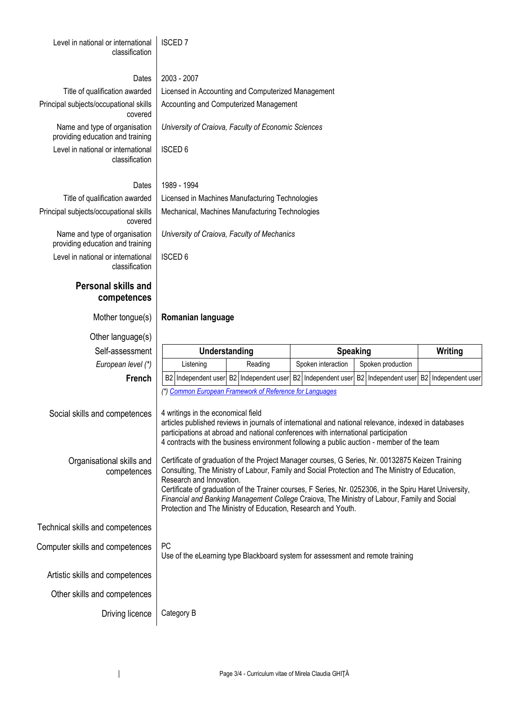Level in national or international classification

### ISCED 7

#### Dates 2003 - 2007

Principal subjects/occupational skills covered

> Name and type of organisation providing education and training Level in national or international classification

Title of qualification awarded | Licensed in Accounting and Computerized Management Accounting and Computerized Management

*University of Craiova, Faculty of Economic Sciences*

ISCED 6

### Dates 1989 - 1994

Title of qualification awarded Licensed in Machines Manufacturing Technologies Principal subjects/occupational skills covered Name and type of organisation providing education and training Level in national or international classification

### **Personal skills and competences**

# *University of Craiova, Faculty of Mechanics*

Mechanical, Machines Manufacturing Technologies

ISCED 6

### Mother tongue(s) **Romanian language**

Other language(s)

|                                                                                                                                                                                                                                                                                                                                                                                                                                                                                                                                                        |  |               | <b>Speaking</b> |  |                                                                                |  | Writing                                                                                             |                                                                                 |
|--------------------------------------------------------------------------------------------------------------------------------------------------------------------------------------------------------------------------------------------------------------------------------------------------------------------------------------------------------------------------------------------------------------------------------------------------------------------------------------------------------------------------------------------------------|--|---------------|-----------------|--|--------------------------------------------------------------------------------|--|-----------------------------------------------------------------------------------------------------|---------------------------------------------------------------------------------|
| Listening                                                                                                                                                                                                                                                                                                                                                                                                                                                                                                                                              |  |               |                 |  |                                                                                |  |                                                                                                     |                                                                                 |
| <b>B2</b>                                                                                                                                                                                                                                                                                                                                                                                                                                                                                                                                              |  |               |                 |  |                                                                                |  |                                                                                                     | Independent user                                                                |
|                                                                                                                                                                                                                                                                                                                                                                                                                                                                                                                                                        |  |               |                 |  |                                                                                |  |                                                                                                     |                                                                                 |
| 4 writings in the economical field<br>Social skills and competences<br>articles published reviews in journals of international and national relevance, indexed in databases<br>participations at abroad and national conferences with international participation<br>4 contracts with the business environment following a public auction - member of the team                                                                                                                                                                                         |  |               |                 |  |                                                                                |  |                                                                                                     |                                                                                 |
| Certificate of graduation of the Project Manager courses, G Series, Nr. 00132875 Keizen Training<br>Organisational skills and<br>Consulting, The Ministry of Labour, Family and Social Protection and The Ministry of Education,<br>competences<br>Research and Innovation.<br>Certificate of graduation of the Trainer courses, F Series, Nr. 0252306, in the Spiru Haret University,<br>Financial and Banking Management College Craiova, The Ministry of Labour, Family and Social<br>Protection and The Ministry of Education, Research and Youth. |  |               |                 |  |                                                                                |  |                                                                                                     |                                                                                 |
|                                                                                                                                                                                                                                                                                                                                                                                                                                                                                                                                                        |  |               |                 |  |                                                                                |  |                                                                                                     |                                                                                 |
| <b>PC</b>                                                                                                                                                                                                                                                                                                                                                                                                                                                                                                                                              |  |               |                 |  |                                                                                |  |                                                                                                     |                                                                                 |
|                                                                                                                                                                                                                                                                                                                                                                                                                                                                                                                                                        |  |               |                 |  |                                                                                |  |                                                                                                     |                                                                                 |
|                                                                                                                                                                                                                                                                                                                                                                                                                                                                                                                                                        |  |               |                 |  |                                                                                |  |                                                                                                     |                                                                                 |
| Category B                                                                                                                                                                                                                                                                                                                                                                                                                                                                                                                                             |  |               |                 |  |                                                                                |  |                                                                                                     |                                                                                 |
|                                                                                                                                                                                                                                                                                                                                                                                                                                                                                                                                                        |  | Understanding | Reading         |  | Spoken interaction<br>(*) Common European Framework of Reference for Languages |  | Spoken production<br>Use of the eLearning type Blackboard system for assessment and remote training | Independent user B2 Independent user B2 Independent user B2 Independent user B2 |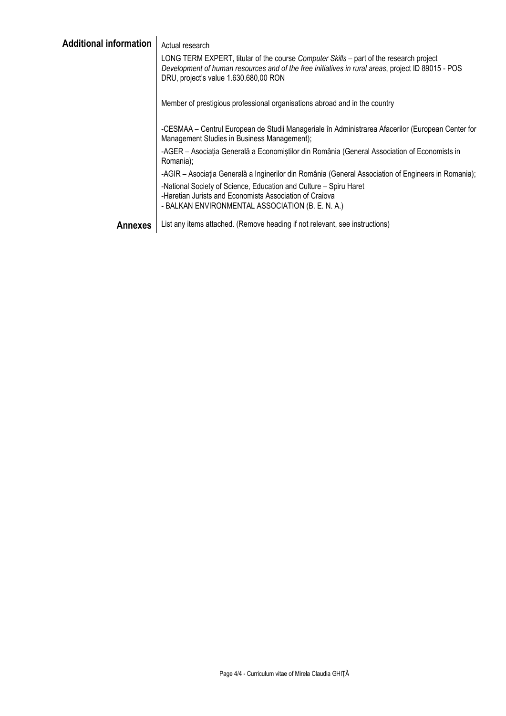| <b>Additional information</b> | Actual research                                                                                                                                                                                                                      |
|-------------------------------|--------------------------------------------------------------------------------------------------------------------------------------------------------------------------------------------------------------------------------------|
|                               | LONG TERM EXPERT, titular of the course Computer Skills – part of the research project<br>Development of human resources and of the free initiatives in rural areas, project ID 89015 - POS<br>DRU, project's value 1.630.680,00 RON |
|                               | Member of prestigious professional organisations abroad and in the country                                                                                                                                                           |
|                               | -CESMAA – Centrul European de Studii Manageriale în Administrarea Afacerilor (European Center for<br>Management Studies in Business Management);                                                                                     |
|                               | -AGER - Asociația Generală a Economiștilor din România (General Association of Economists in<br>Romania);                                                                                                                            |
|                               | -AGIR – Asociația Generală a Inginerilor din România (General Association of Engineers in Romania);                                                                                                                                  |
|                               | -National Society of Science, Education and Culture - Spiru Haret<br>-Haretian Jurists and Economists Association of Craiova<br>- BALKAN ENVIRONMENTAL ASSOCIATION (B. E. N. A.)                                                     |
| <b>Annexes</b>                | List any items attached. (Remove heading if not relevant, see instructions)                                                                                                                                                          |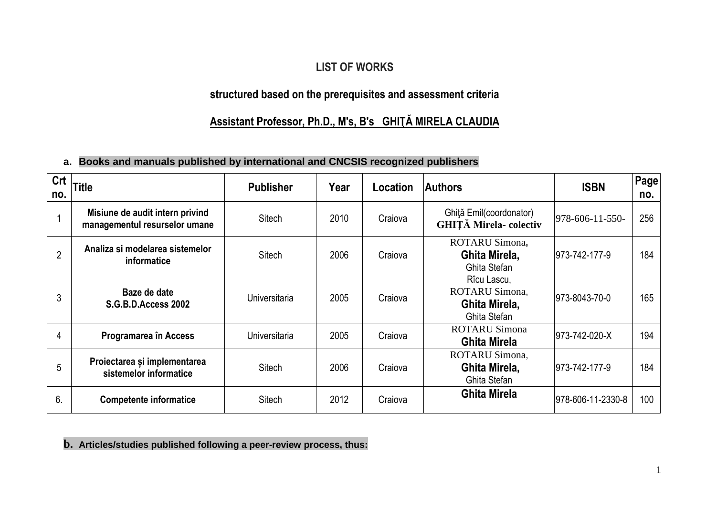## **LIST OF WORKS**

## **structured based on the prerequisites and assessment criteria**

# **Assistant Professor, Ph.D., M's, B's GHIŢĂ MIRELA CLAUDIA**

### **a. Books and manuals published by international and CNCSIS recognized publishers**

| Crt<br>no. | <b>Title</b>                                                     | <b>Publisher</b> | Year | Location | <b>Authors</b>                                                 | <b>ISBN</b>       | <b>Page</b><br>no. |
|------------|------------------------------------------------------------------|------------------|------|----------|----------------------------------------------------------------|-------------------|--------------------|
|            | Misiune de audit intern privind<br>managementul resurselor umane | <b>Sitech</b>    | 2010 | Craiova  | Ghită Emil(coordonator)<br><b>GHITĂ Mirela- colectiv</b>       | 978-606-11-550-   | 256                |
| 2          | Analiza si modelarea sistemelor<br><b>informatice</b>            | Sitech           | 2006 | Craiova  | ROTARU Simona,<br>Ghita Mirela,<br>Ghita Stefan                | 973-742-177-9     | 184                |
| 3          | Baze de date<br><b>S.G.B.D.Access 2002</b>                       | Universitaria    | 2005 | Craiova  | Rîcu Lascu,<br>ROTARU Simona,<br>Ghita Mirela,<br>Ghita Stefan | 973-8043-70-0     | 165                |
| 4          | Programarea în Access                                            | Universitaria    | 2005 | Craiova  | <b>ROTARU Simona</b><br><b>Ghita Mirela</b>                    | 973-742-020-X     | 194                |
| 5          | Proiectarea și implementarea<br>sistemelor informatice           | <b>Sitech</b>    | 2006 | Craiova  | ROTARU Simona,<br>Ghita Mirela,<br>Ghita Stefan                | 973-742-177-9     | 184                |
| 6.         | <b>Competente informatice</b>                                    | <b>Sitech</b>    | 2012 | Craiova  | <b>Ghita Mirela</b>                                            | 978-606-11-2330-8 | 100                |

### **b. Articles/studies published following a peer-review process, thus:**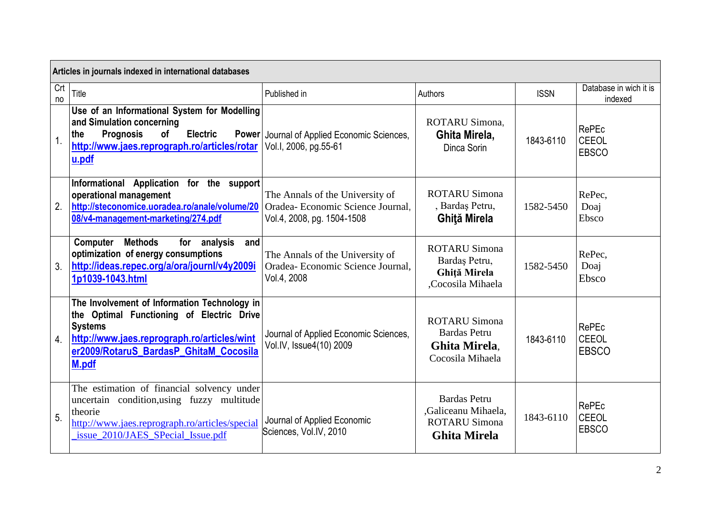|           | Articles in journals indexed in international databases                                                                                                                                                       |                                                                                                    |                                                                                           |             |                                       |  |  |
|-----------|---------------------------------------------------------------------------------------------------------------------------------------------------------------------------------------------------------------|----------------------------------------------------------------------------------------------------|-------------------------------------------------------------------------------------------|-------------|---------------------------------------|--|--|
| Crt<br>no | <b>Title</b>                                                                                                                                                                                                  | Published in                                                                                       | Authors                                                                                   | <b>ISSN</b> | Database in wich it is<br>indexed     |  |  |
| 1.        | Use of an Informational System for Modelling<br>and Simulation concerning<br><b>Prognosis</b><br><b>Electric</b><br>the<br><b>of</b><br><b>Power</b><br>http://www.jaes.reprograph.ro/articles/rotar<br>u.pdf | Journal of Applied Economic Sciences,<br>Vol.1, 2006, pg.55-61                                     | ROTARU Simona.<br>Ghita Mirela,<br>Dinca Sorin                                            | 1843-6110   | RePEc<br><b>CEEOL</b><br><b>EBSCO</b> |  |  |
| 2.        | Informational Application for the support<br>operational management<br>http://steconomice.uoradea.ro/anale/volume/20<br>08/v4-management-marketing/274.pdf                                                    | The Annals of the University of<br>Oradea- Economic Science Journal.<br>Vol.4, 2008, pg. 1504-1508 | <b>ROTARU Simona</b><br>, Bardaş Petru,<br>Ghită Mirela                                   | 1582-5450   | RePec,<br>Doaj<br>Ebsco               |  |  |
| 3.        | <b>Methods</b><br>Computer<br>for analysis<br>and<br>optimization of energy consumptions<br>http://ideas.repec.org/a/ora/journl/v4y2009i<br>1p1039-1043.html                                                  | The Annals of the University of<br>Oradea- Economic Science Journal,<br>Vol.4, 2008                | <b>ROTARU Simona</b><br>Bardaş Petru,<br>Ghiță Mirela<br>,Cocosila Mihaela                | 1582-5450   | RePec,<br>Doaj<br>Ebsco               |  |  |
| 4.        | The Involvement of Information Technology in<br>the Optimal Functioning of Electric Drive<br><b>Systems</b><br>http://www.jaes.reprograph.ro/articles/wint<br>er2009/RotaruS BardasP GhitaM Cocosila<br>M.pdf | Journal of Applied Economic Sciences,<br>Vol.IV, Issue4(10) 2009                                   | <b>ROTARU Simona</b><br><b>Bardas</b> Petru<br>Ghita Mirela.<br>Cocosila Mihaela          | 1843-6110   | RePEc<br><b>CEEOL</b><br><b>EBSCO</b> |  |  |
| 5.        | The estimation of financial solvency under<br>uncertain condition, using fuzzy multitude<br>theorie<br>http://www.jaes.reprograph.ro/articles/special<br>issue_2010/JAES_SPecial_Issue.pdf                    | Journal of Applied Economic<br>Sciences, Vol.IV, 2010                                              | <b>Bardas Petru</b><br>,Galiceanu Mihaela,<br><b>ROTARU Simona</b><br><b>Ghita Mirela</b> | 1843-6110   | RePEc<br><b>CEEOL</b><br><b>EBSCO</b> |  |  |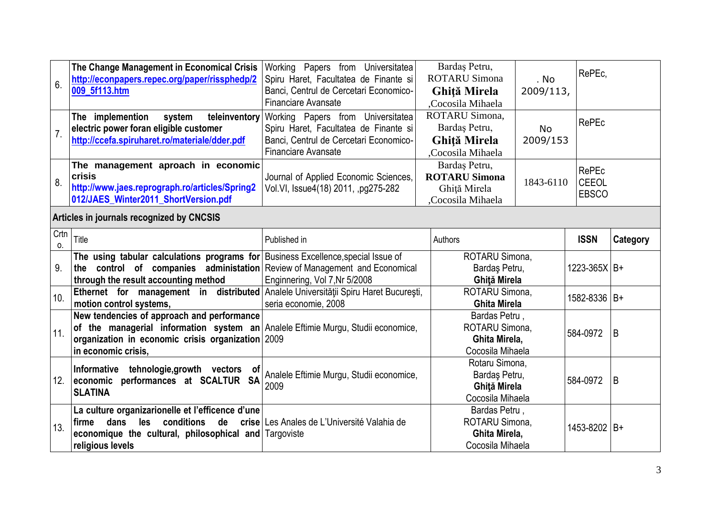| 6.               | The Change Management in Economical Crisis<br>http://econpapers.repec.org/paper/rissphedp/2<br>009_5f113.htm                                                                                               | Working Papers from Universitatea<br>Spiru Haret, Facultatea de Finante si<br>Banci, Centrul de Cercetari Economico-<br><b>Financiare Avansate</b> | Bardas Petru,<br><b>ROTARU Simona</b><br>. No<br>2009/113,<br>Ghiță Mirela<br>Cocosila Mihaela |           | RePEc,                                       |          |
|------------------|------------------------------------------------------------------------------------------------------------------------------------------------------------------------------------------------------------|----------------------------------------------------------------------------------------------------------------------------------------------------|------------------------------------------------------------------------------------------------|-----------|----------------------------------------------|----------|
| $\overline{7}$ . | teleinventory<br>The implemention<br>system<br>electric power foran eligible customer<br>http://ccefa.spiruharet.ro/materiale/dder.pdf                                                                     | Working Papers from Universitatea<br>Spiru Haret, Facultatea de Finante si<br>Banci, Centrul de Cercetari Economico-<br>Financiare Avansate        | ROTARU Simona,<br>Bardaş Petru,<br><b>No</b><br>Ghiță Mirela<br>2009/153<br>Cocosila Mihaela   |           | <b>RePEc</b>                                 |          |
| 8.               | The management aproach in economic<br>crisis<br>http://www.jaes.reprograph.ro/articles/Spring2<br>012/JAES_Winter2011_ShortVersion.pdf                                                                     | Journal of Applied Economic Sciences,<br>Vol.VI, Issue4(18) 2011, pg275-282                                                                        | Bardaş Petru,<br><b>ROTARU Simona</b><br>Ghiță Mirela<br>Cocosila Mihaela                      | 1843-6110 | <b>RePEc</b><br><b>CEEOL</b><br><b>EBSCO</b> |          |
|                  | Articles in journals recognized by CNCSIS                                                                                                                                                                  |                                                                                                                                                    |                                                                                                |           |                                              |          |
| Crtn<br>0.       | Title                                                                                                                                                                                                      | Published in                                                                                                                                       | Authors                                                                                        |           | <b>ISSN</b>                                  | Category |
| 9.               | The using tabular calculations programs for Business Excellence, special Issue of<br>the control of companies administation Review of Management and Economical<br>through the result accounting method    | Enginnering, Vol 7, Nr 5/2008                                                                                                                      | ROTARU Simona,<br>Bardaş Petru,<br>Ghită Mirela                                                |           | $1223 - 365X$ B+                             |          |
| 10.              | Ethernet for management in distributed<br>motion control systems,                                                                                                                                          | Analele Universității Spiru Haret București,<br>seria economie, 2008                                                                               | ROTARU Simona.<br><b>Ghita Mirela</b>                                                          |           | 1582-8336 B+                                 |          |
| 11.              | New tendencies of approach and performance<br>of the managerial information system an Analele Eftimie Murgu, Studii economice,<br>organization in economic crisis organization 2009<br>in economic crisis, |                                                                                                                                                    | Bardas Petru,<br>ROTARU Simona,<br>Ghita Mirela,<br>Cocosila Mihaela                           |           | 584-0972                                     | B        |
| 12.              | Informative tehnologie, growth vectors<br>.ot<br>economic performances at SCALTUR SA<br><b>SLATINA</b>                                                                                                     | Analele Eftimie Murgu, Studii economice,<br>2009                                                                                                   | Rotaru Simona,<br>Bardaş Petru,<br>Ghită Mirela<br>Cocosila Mihaela                            |           | 584-0972                                     | B        |
| 13.              | La culture organizarionelle et l'efficence d'une<br>dans<br>les conditions<br>de<br>firme<br>economique the cultural, philosophical and Targoviste<br>religious levels                                     | crise Les Anales de L'Université Valahia de                                                                                                        | Bardas Petru,<br>ROTARU Simona,<br>Ghita Mirela,<br>Cocosila Mihaela                           |           | 1453-8202 B+                                 |          |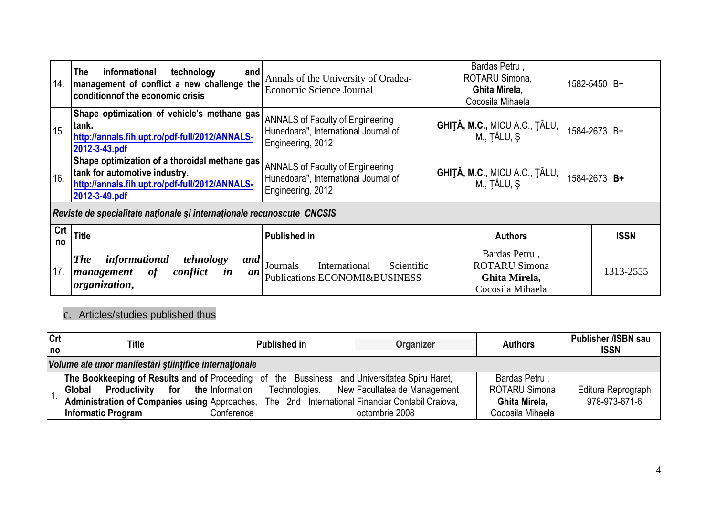| 14                                                                     | The<br>informational<br>technology<br>and<br>Annals of the University of Oradea-<br>management of conflict a new challenge the<br>Economic Science Journal<br>conditionnof the economic crisis |                                                                                                      | Bardas Petru,<br>ROTARU Simona,<br>Ghita Mirela,<br>Cocosila Mihaela                                           | 1582-5450 B+ |             |
|------------------------------------------------------------------------|------------------------------------------------------------------------------------------------------------------------------------------------------------------------------------------------|------------------------------------------------------------------------------------------------------|----------------------------------------------------------------------------------------------------------------|--------------|-------------|
| 15.                                                                    | Shape optimization of vehicle's methane gas<br>tank.<br>http://annals.fih.upt.ro/pdf-full/2012/ANNALS-<br>2012-3-43.pdf                                                                        | <b>ANNALS of Faculty of Engineering</b><br>Hunedoara", International Journal of<br>Engineering, 2012 | GHIȚĂ, M.C., MICU A.C., ȚĂLU,<br>M., TĂLU, Ș                                                                   | 1584-2673 B+ |             |
| 16.                                                                    | Shape optimization of a thoroidal methane gas<br>tank for automotive industry.<br>http://annals.fih.upt.ro/pdf-full/2012/ANNALS-<br>2012-3-49.pdf                                              | <b>ANNALS of Faculty of Engineering</b><br>Hunedoara", International Journal of<br>Engineering, 2012 | <b>GHIȚĂ, M.C., MICU A.C., ȚĂLU, <math>\begin{bmatrix} M., T\,\text{ALU}, \, \text{S} \end{bmatrix}</math></b> | 1584-2673 B+ |             |
| Reviste de specialitate nationale și internaționale recunoscute CNCSIS |                                                                                                                                                                                                |                                                                                                      |                                                                                                                |              |             |
| Crt<br>no                                                              | <b>Title</b>                                                                                                                                                                                   | Published in                                                                                         | <b>Authors</b>                                                                                                 |              | <b>ISSN</b> |
| 17.                                                                    | informational<br><b>The</b><br>tehnology<br>and<br>of<br>conflict<br>management<br>in<br>an<br>organization,                                                                                   | Scientific<br>Journals<br>International<br><b>Publications ECONOMI&amp;BUSINESS</b>                  | Bardas Petru,<br><b>ROTARU Simona</b><br>Ghita Mirela,<br>Cocosila Mihaela                                     |              | 1313-2555   |

c. Articles/studies published thus

| Crt <br>no | Title                                                                                        | <b>Published in</b> | Organizer                                         | <b>Authors</b>       | <b>Publisher /ISBN sau</b><br><b>ISSN</b> |  |
|------------|----------------------------------------------------------------------------------------------|---------------------|---------------------------------------------------|----------------------|-------------------------------------------|--|
|            | Volume ale unor manifestări științifice internaționale                                       |                     |                                                   |                      |                                           |  |
|            | The Bookkeeping of Results and of Proceeding of the Bussiness and Universitatea Spiru Haret, |                     |                                                   | Bardas Petru,        |                                           |  |
|            | <b>Productivity for the Information</b><br><b>Global</b>                                     | Technologies.       | New Facultatea de Management                      | <b>ROTARU Simona</b> | Editura Reprograph                        |  |
|            | Administration of Companies using Approaches,                                                |                     | The 2nd International Financiar Contabil Craiova, | Ghita Mirela,        | 978-973-671-6                             |  |
|            | Informatic Program                                                                           | Conference          | octombrie 2008                                    | Cocosila Mihaela     |                                           |  |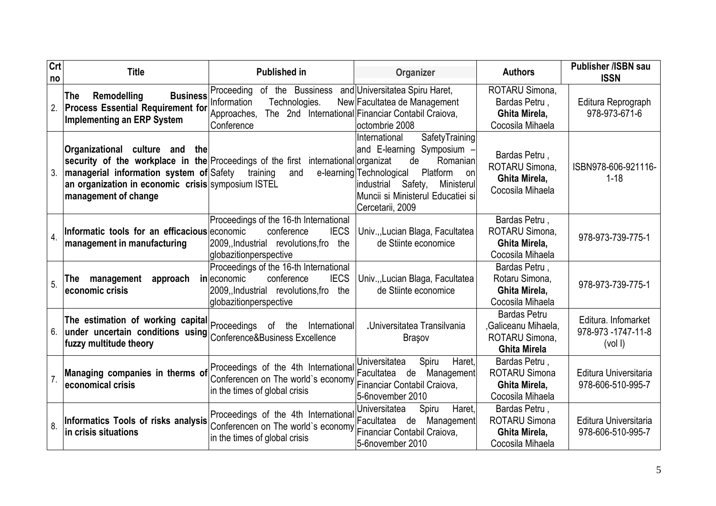| Crt<br>no | <b>Title</b>                                                                                                                                                     | <b>Published in</b>                                                                                                                                     | Organizer                                                                                                                                                                                                                      | <b>Authors</b>                                                                      | <b>Publisher /ISBN sau</b><br><b>ISSN</b>          |
|-----------|------------------------------------------------------------------------------------------------------------------------------------------------------------------|---------------------------------------------------------------------------------------------------------------------------------------------------------|--------------------------------------------------------------------------------------------------------------------------------------------------------------------------------------------------------------------------------|-------------------------------------------------------------------------------------|----------------------------------------------------|
| 2.        | <b>Business</b><br>Remodelling<br>The<br><b>Process Essential Requirement for</b><br><b>Implementing an ERP System</b>                                           | of the Bussiness<br>Proceeding<br>Information<br>Technologies.<br>Approaches,<br>Conference                                                             | and Universitatea Spiru Haret,<br>New Facultatea de Management<br>The 2nd International Financiar Contabil Craiova,<br>octombrie 2008                                                                                          | ROTARU Simona,<br>Bardas Petru,<br>Ghita Mirela,<br>Cocosila Mihaela                | Editura Reprograph<br>978-973-671-6                |
| 3.        | Organizational culture and the<br>managerial information system of Safety training<br>an organization in economic crisis symposium ISTEL<br>management of change | security of the workplace in the Proceedings of the first international organizat<br>and                                                                | SafetyTraining<br>International<br>and E-learning Symposium -<br>Romanian<br>de<br>e-learning Technological<br>Platform<br>onl<br>Safety,<br>industrial<br>Ministerul<br>Muncii si Ministerul Educatiei si<br>Cercetarii, 2009 | Bardas Petru,<br>ROTARU Simona,<br>Ghita Mirela,<br>Cocosila Mihaela                | ISBN978-606-921116-<br>$1 - 18$                    |
| 4.        | Informatic tools for an efficacious economic<br>management in manufacturing                                                                                      | Proceedings of the 16-th International<br>conference<br><b>IECS</b><br>2009, Industrial revolutions, fro<br>the<br>globazitionperspective               | Univ.,,Lucian Blaga, Facultatea<br>de Stiinte economice                                                                                                                                                                        | Bardas Petru,<br>ROTARU Simona,<br>Ghita Mirela,<br>Cocosila Mihaela                | 978-973-739-775-1                                  |
| 5.        | management<br>approach<br>The.<br>economic crisis                                                                                                                | Proceedings of the 16-th International<br>conference<br><b>IECS</b><br>in economic<br>2009, Industrial revolutions fro<br>the<br>globazitionperspective | Univ.,, Lucian Blaga, Facultatea<br>de Stiinte economice                                                                                                                                                                       | Bardas Petru,<br>Rotaru Simona,<br>Ghita Mirela,<br>Cocosila Mihaela                | 978-973-739-775-1                                  |
| 6.        | The estimation of working capital Proceedings of the<br>under uncertain conditions using Conference&Business Excellence<br>fuzzy multitude theory                | International                                                                                                                                           | <b>.Universitatea Transilvania</b><br><b>Brasov</b>                                                                                                                                                                            | <b>Bardas Petru</b><br>,Galiceanu Mihaela,<br>ROTARU Simona,<br><b>Ghita Mirela</b> | Editura, Infomarket<br>978-973 -1747-11-8<br>(vol) |
|           | Managing companies in therms of<br>economical crisis                                                                                                             | Proceedings of the 4th International<br>Conferencen on The world's economy<br>in the times of global crisis                                             | Spiru<br>Haret.<br>Universitatea<br>Facultatea de<br>Management<br>Financiar Contabil Craiova,<br>5-6november 2010                                                                                                             | Bardas Petru.<br><b>ROTARU Simona</b><br>Ghita Mirela,<br>Cocosila Mihaela          | Editura Universitaria<br>978-606-510-995-7         |
| 8.        | Informatics Tools of risks analysis<br>in crisis situations                                                                                                      | Proceedings of the 4th International<br>Conferencen on The world's economy<br>in the times of global crisis                                             | Haret,<br>Universitatea<br>Spiru<br><b>Facultatea</b><br>Management<br>de<br>Financiar Contabil Craiova,<br>5-6november 2010                                                                                                   | Bardas Petru,<br><b>ROTARU Simona</b><br>Ghita Mirela,<br>Cocosila Mihaela          | Editura Universitaria<br>978-606-510-995-7         |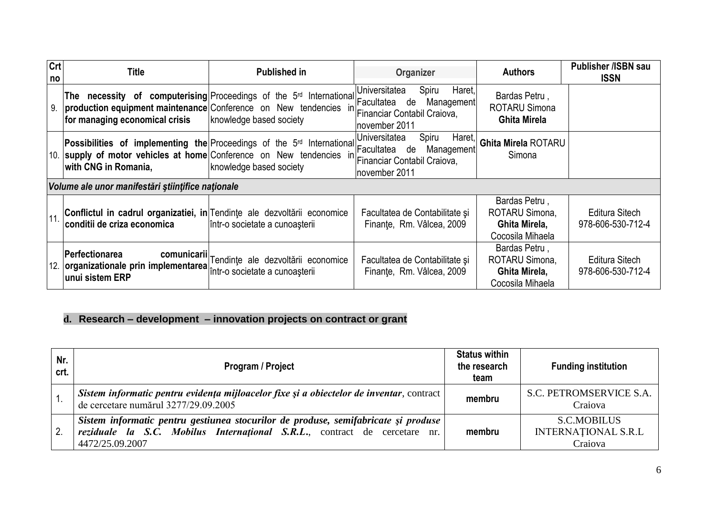| Crt<br>no | Title                                                                                                   | <b>Published in</b>                                                                                                                                                                                                                                                               | Organizer                                                       | <b>Authors</b>                                                       | <b>Publisher /ISBN sau</b><br><b>ISSN</b> |
|-----------|---------------------------------------------------------------------------------------------------------|-----------------------------------------------------------------------------------------------------------------------------------------------------------------------------------------------------------------------------------------------------------------------------------|-----------------------------------------------------------------|----------------------------------------------------------------------|-------------------------------------------|
| 9.        | for managing economical crisis                                                                          | The necessity of computerising Proceedings of the 5 <sup>rd</sup> International <i>Encultatea</i> de<br>production equipment maintenance Conference on New tendencies in Financiar Contabil Craiova,<br>knowledge based society                                                   | Haret,<br>Spiru<br>Universitatea<br>Management<br>november 2011 | Bardas Petru,<br><b>ROTARU Simona</b><br><b>Ghita Mirela</b>         |                                           |
|           | with CNG in Romania,                                                                                    | Possibilities of implementing the Proceedings of the 5 <sup>rd</sup> International Proceedings of the 5 <sup>rd</sup> International Proceedings in<br>10. supply of motor vehicles at home Conference on New tendencies in Financiar Contabil Craiova,<br>knowledge based society | Universitatea<br>Spiru<br>Haret,<br>Management<br>november 2011 | <b>Ghita Mirela ROTARU</b><br>Simona                                 |                                           |
|           | Volume ale unor manifestări științifice naționale                                                       |                                                                                                                                                                                                                                                                                   |                                                                 |                                                                      |                                           |
| 11        | Conflictul in cadrul organizatiei, in Tendințe ale dezvoltării economice<br>conditii de criza economica | într-o societate a cunoașterii                                                                                                                                                                                                                                                    | Facultatea de Contabilitate și<br>Finante, Rm. Vâlcea, 2009     | Bardas Petru,<br>ROTARU Simona,<br>Ghita Mirela,<br>Cocosila Mihaela | Editura Sitech<br>978-606-530-712-4       |
|           | Perfectionarea<br>12. organizationale prin implementarea for societate a cunoașterii<br>unui sistem ERP | comunicarii Tendințe ale dezvoltării economice                                                                                                                                                                                                                                    | Facultatea de Contabilitate și<br>Finante, Rm. Vâlcea, 2009     | Bardas Petru,<br>ROTARU Simona,<br>Ghita Mirela,<br>Cocosila Mihaela | Editura Sitech<br>978-606-530-712-4       |

# **d. Research – development – innovation projects on contract or grant**

| Nr.<br>crt. | Program / Project                                                                                                                                                                  |        | <b>Funding institution</b>                                  |
|-------------|------------------------------------------------------------------------------------------------------------------------------------------------------------------------------------|--------|-------------------------------------------------------------|
|             | Sistem informatic pentru evidența mijloacelor fixe și a obiectelor de inventar, contract<br>de cercetare numărul 3277/29.09.2005                                                   | membru | S.C. PETROMSERVICE S.A.<br>Craiova                          |
|             | Sistem informatic pentru gestiunea stocurilor de produse, semifabricate și produse<br>reziduale la S.C. Mobilus Internațional S.R.L., contract de cercetare nr.<br>4472/25.09.2007 | membru | <b>S.C.MOBILUS</b><br><b>INTERNATIONAL S.R.L</b><br>Craiova |